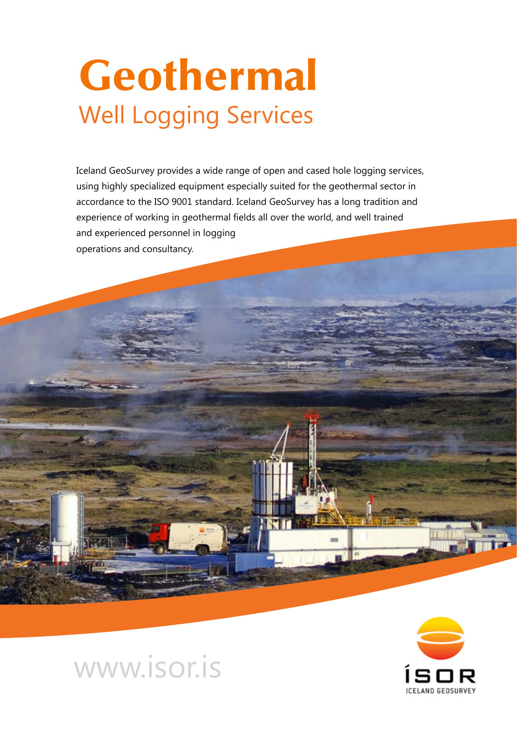# Geothermal Well Logging Services

Iceland GeoSurvey provides a wide range of open and cased hole logging services, using highly specialized equipment especially suited for the geothermal sector in accordance to the ISO 9001 standard. Iceland GeoSurvey has a long tradition and experience of working in geothermal fields all over the world, and well trained and experienced personnel in logging operations and consultancy.





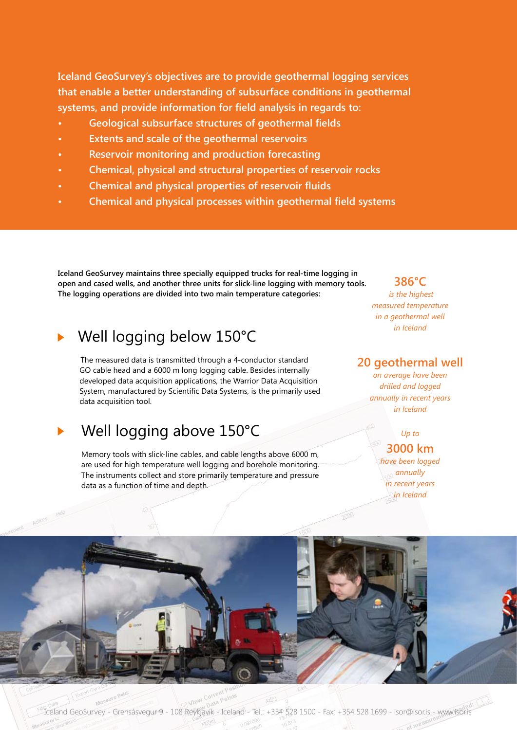**Iceland GeoSurvey's objectives are to provide geothermal logging services that enable a better understanding of subsurface conditions in geothermal systems, and provide information for field analysis in regards to:**

- **• Geological subsurface structures of geothermal fields**
- **• Extents and scale of the geothermal reservoirs**
- **• Reservoir monitoring and production forecasting**
- **• Chemical, physical and structural properties of reservoir rocks**
- **• Chemical and physical properties of reservoir fluids**
- **• Chemical and physical processes within geothermal field systems**

**Iceland GeoSurvey maintains three specially equipped trucks for real-time logging in open and cased wells, and another three units for slick-line logging with memory tools. The logging operations are divided into two main temperature categories:**

## Well logging below 150°C

The measured data is transmitted through a 4-conductor standard GO cable head and a 6000 m long logging cable. Besides internally developed data acquisition applications, the Warrior Data Acquisition System, manufactured by Scientific Data Systems, is the primarily used data acquisition tool.

# Well logging above 150°C

Memory tools with slick-line cables, and cable lengths above 6000 m, are used for high temperature well logging and borehole monitoring. The instruments collect and store primarily temperature and pressure data as a function of time and depth.

## **386°C**

 *is the highest measured temperature in a geothermal well in Iceland*

### **20 geothermal well**

*on average have been drilled and logged annually in recent years in Iceland*

## *Up to*  **3000 km**

*have been logged annually in recent years in Iceland*



Iceland GeoSurvey - Grensásvegur 9 - 108 Reykjavík - Iceland - Tel.: +354 528 1500 - Fax: +354 528 1699 - isor@isor.is - www.isor.is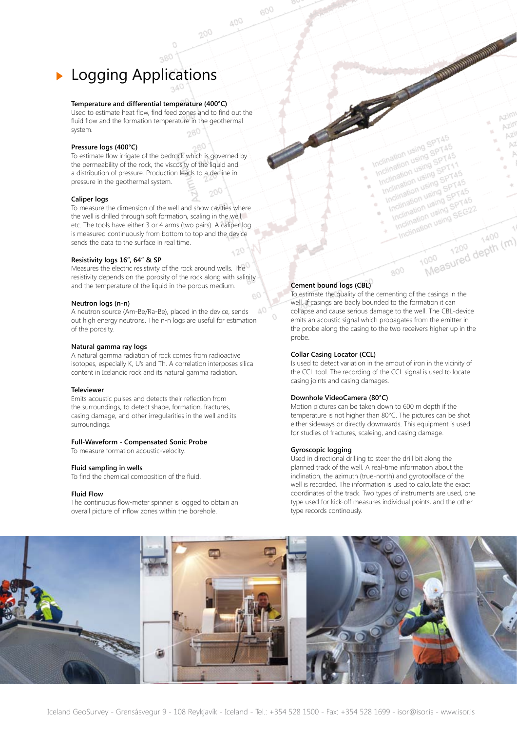# **Logging Applications**

#### **Temperature and differential temperature (400°C)**

Used to estimate heat flow, find feed zones and to find out the fluid flow and the formation temperature in the geothermal system.

#### **Pressure logs (400°C)**

To estimate flow irrigate of the bedrock which is governed by the permeability of the rock, the viscosity of the liquid and a distribution of pressure. Production leads to a decline in pressure in the geothermal system.

#### **Caliper logs**

To measure the dimension of the well and show cavities where the well is drilled through soft formation, scaling in the well, etc. The tools have either 3 or 4 arms (two pairs). A caliper log is measured continuously from bottom to top and the device sends the data to the surface in real time.

#### **Resistivity logs 16", 64" & SP**

Measures the electric resistivity of the rock around wells. The resistivity depends on the porosity of the rock along with salinity and the temperature of the liquid in the porous medium.

#### **Neutron logs (n-n)**

A neutron source (Am-Be/Ra-Be), placed in the device, sends out high energy neutrons. The n-n logs are useful for estimation of the porosity.

#### **Natural gamma ray logs**

A natural gamma radiation of rock comes from radioactive isotopes, especially K, U's and Th. A correlation interposes silica content in Icelandic rock and its natural gamma radiation.

#### **Televiewer**

Emits acoustic pulses and detects their reflection from the surroundings, to detect shape, formation, fractures, casing damage, and other irregularities in the well and its surroundings.

#### **Full-Waveform - Compensated Sonic Probe**

To measure formation acoustic-velocity.

#### **Fluid sampling in wells**

To find the chemical composition of the fluid.

#### **Fluid Flow**

The continuous flow-meter spinner is logged to obtain an overall picture of inflow zones within the borehole.

#### **Cement bound logs (CBL)**

600

400

200

To estimate the quality of the cementing of the casings in the well. If casings are badly bounded to the formation it can collapse and cause serious damage to the well. The CBL-device emits an acoustic signal which propagates from the emitter in the probe along the casing to the two receivers higher up in the probe.

Inclination using SPT45

Inclination using SPT45<br>Inclination using SPT45<br>Inclination using SPT1<br>Inclination using SPT1

nclination using<br>nclination using SPT45<br>Inclination using SPT45<br>Inclination using SPT4<br>Inclination using SPT4 clination<br>notination using SPT11<br>notination using SPT11<br>Inclination using SPT45<br>Inclination using SPT45 clination<br>notination using<br>notination using SPT45<br>Inclination using SPT45<br>Inclination using SPT4<br>Inclination using SPT4 initiation using SPT45<br>nclination using SPT45<br>nclination using SPT45<br>Inclination using SPT45<br>Inclination using SPT4 clination<br>clination using<br>nclination using SPT45<br>Inclination using SPT45<br>Inclination using SEG2<br>Inclination using SEG2 clination<br>clination using<br>nclination using SPT45<br>Inclination using SEG22<br>Inclination using SEG22<br>Inclination using nination<br>clination using<br>nclination using SEG22<br>Inclination using SEG22<br>Inclination using

1000

**CONTRACTOR AND ACTION** 

Azim Azim

AZI

M

1400

1400<br>1000 1200 depth (m)

#### **Collar Casing Locator (CCL)**

Is used to detect variation in the amout of iron in the vicinity of the CCL tool. The recording of the CCL signal is used to locate casing joints and casing damages.

#### **Downhole VideoCamera (80°C)**

Motion pictures can be taken down to 600 m depth if the temperature is not higher than 80°C. The pictures can be shot either sideways or directly downwards. This equipment is used for studies of fractures, scaleing, and casing damage.

#### **Gyroscopic logging**

Used in directional drilling to steer the drill bit along the planned track of the well. A real-time information about the inclination, the azimuth (true-north) and gyrotoolface of the well is recorded. The information is used to calculate the exact coordinates of the track. Two types of instruments are used, one type used for kick-off measures individual points, and the other type records continously.